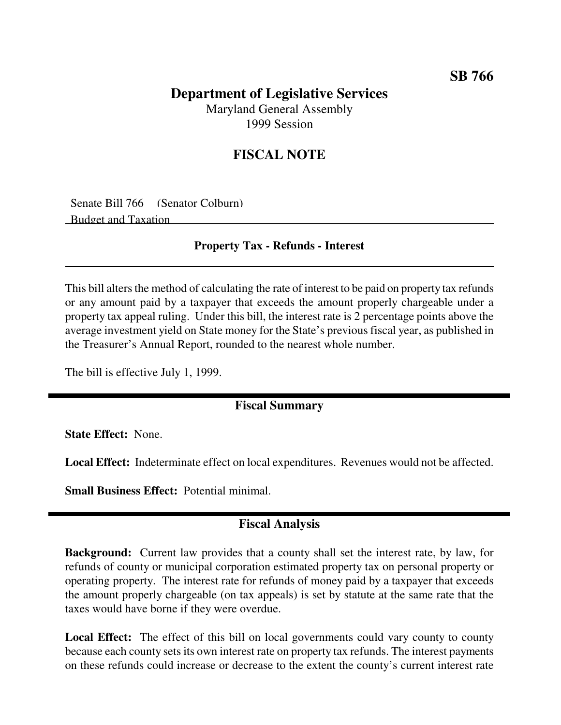# **Department of Legislative Services**

Maryland General Assembly 1999 Session

## **FISCAL NOTE**

Senate Bill 766 (Senator Colburn) Budget and Taxation

#### **Property Tax - Refunds - Interest**

This bill alters the method of calculating the rate of interest to be paid on property tax refunds or any amount paid by a taxpayer that exceeds the amount properly chargeable under a property tax appeal ruling. Under this bill, the interest rate is 2 percentage points above the average investment yield on State money for the State's previous fiscal year, as published in the Treasurer's Annual Report, rounded to the nearest whole number.

The bill is effective July 1, 1999.

## **Fiscal Summary**

**State Effect:** None.

**Local Effect:** Indeterminate effect on local expenditures. Revenues would not be affected.

**Small Business Effect:** Potential minimal.

### **Fiscal Analysis**

**Background:** Current law provides that a county shall set the interest rate, by law, for refunds of county or municipal corporation estimated property tax on personal property or operating property. The interest rate for refunds of money paid by a taxpayer that exceeds the amount properly chargeable (on tax appeals) is set by statute at the same rate that the taxes would have borne if they were overdue.

**Local Effect:** The effect of this bill on local governments could vary county to county because each county sets its own interest rate on property tax refunds. The interest payments on these refunds could increase or decrease to the extent the county's current interest rate